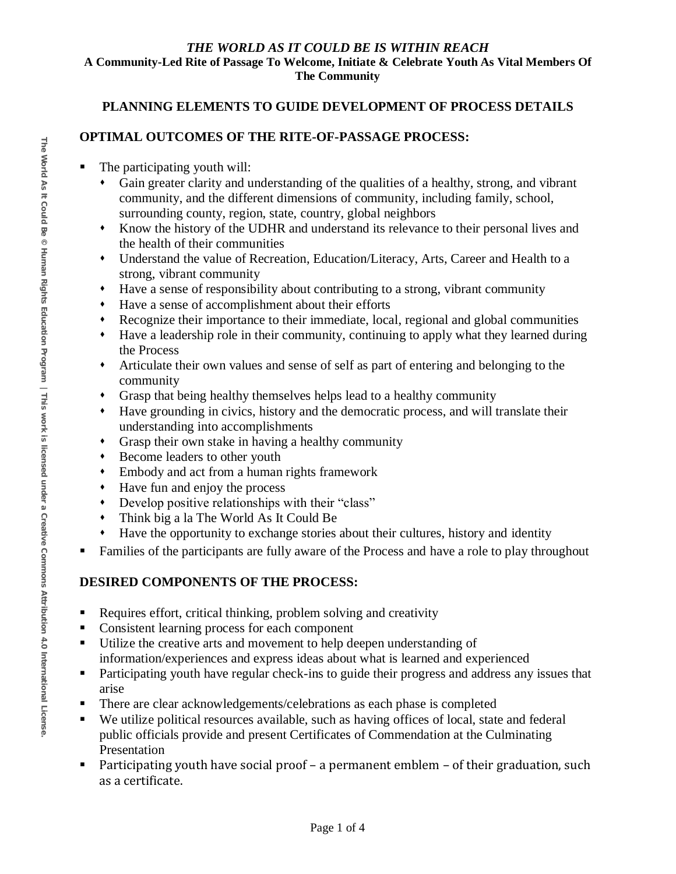### *THE WORLD AS IT COULD BE IS WITHIN REACH*

**A Community-Led Rite of Passage To Welcome, Initiate & Celebrate Youth As Vital Members Of The Community**

### **PLANNING ELEMENTS TO GUIDE DEVELOPMENT OF PROCESS DETAILS**

## **OPTIMAL OUTCOMES OF THE RITE-OF-PASSAGE PROCESS:**

- The participating youth will:
	- ⬧ Gain greater clarity and understanding of the qualities of a healthy, strong, and vibrant community, and the different dimensions of community, including family, school, surrounding county, region, state, country, global neighbors
	- ⬧ Know the history of the UDHR and understand its relevance to their personal lives and the health of their communities
	- ⬧ Understand the value of Recreation, Education/Literacy, Arts, Career and Health to a strong, vibrant community
	- ⬧ Have a sense of responsibility about contributing to a strong, vibrant community
	- ⬧ Have a sense of accomplishment about their efforts
	- Recognize their importance to their immediate, local, regional and global communities
	- ⬧ Have a leadership role in their community, continuing to apply what they learned during the Process
	- ⬧ Articulate their own values and sense of self as part of entering and belonging to the community
	- ⬧ Grasp that being healthy themselves helps lead to a healthy community
	- ⬧ Have grounding in civics, history and the democratic process, and will translate their understanding into accomplishments
	- ⬧ Grasp their own stake in having a healthy community
	- ⬧ Become leaders to other youth
	- ⬧ Embody and act from a human rights framework
	- ⬧ Have fun and enjoy the process
	- ⬧ Develop positive relationships with their "class"
	- ⬧ Think big a la The World As It Could Be
	- Have the opportunity to exchange stories about their cultures, history and identity
- Families of the participants are fully aware of the Process and have a role to play throughout

## **DESIRED COMPONENTS OF THE PROCESS:**

- Requires effort, critical thinking, problem solving and creativity
- Consistent learning process for each component
- Utilize the creative arts and movement to help deepen understanding of information/experiences and express ideas about what is learned and experienced
- Participating youth have regular check-ins to guide their progress and address any issues that arise
- There are clear acknowledgements/celebrations as each phase is completed
- We utilize political resources available, such as having offices of local, state and federal public officials provide and present Certificates of Commendation at the Culminating Presentation
- Participating youth have social proof a permanent emblem of their graduation, such as a certificate.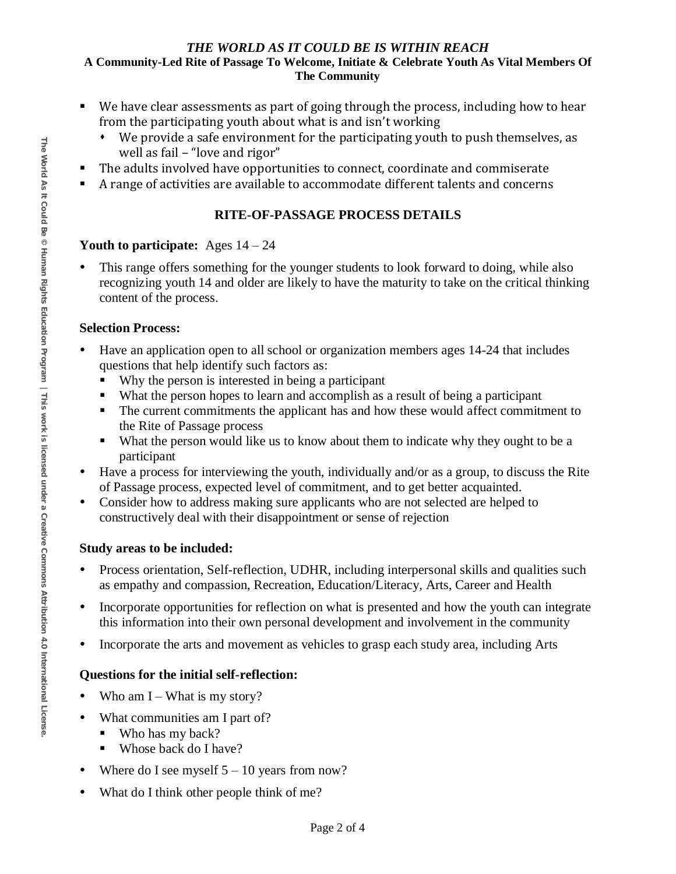## *THE WORLD AS IT COULD BE IS WITHIN REACH*

#### **A Community-Led Rite of Passage To Welcome, Initiate & Celebrate Youth As Vital Members Of The Community**

- We have clear assessments as part of going through the process, including how to hear from the participating youth about what is and isn't working
	- We provide a safe environment for the participating youth to push themselves, as well as fail – "love and rigor"
- The adults involved have opportunities to connect, coordinate and commiserate
- A range of activities are available to accommodate different talents and concerns

# **RITE-OF-PASSAGE PROCESS DETAILS**

## **Youth to participate:** Ages 14 – 24

 This range offers something for the younger students to look forward to doing, while also recognizing youth 14 and older are likely to have the maturity to take on the critical thinking content of the process.

# **Selection Process:**

- Have an application open to all school or organization members ages 14-24 that includes questions that help identify such factors as:
	- Why the person is interested in being a participant
	- What the person hopes to learn and accomplish as a result of being a participant
	- The current commitments the applicant has and how these would affect commitment to the Rite of Passage process
	- What the person would like us to know about them to indicate why they ought to be a participant
- Have a process for interviewing the youth, individually and/or as a group, to discuss the Rite of Passage process, expected level of commitment, and to get better acquainted.
- Consider how to address making sure applicants who are not selected are helped to constructively deal with their disappointment or sense of rejection

# **Study areas to be included:**

- Process orientation, Self-reflection, UDHR, including interpersonal skills and qualities such as empathy and compassion, Recreation, Education/Literacy, Arts, Career and Health
- Incorporate opportunities for reflection on what is presented and how the youth can integrate this information into their own personal development and involvement in the community
- Incorporate the arts and movement as vehicles to grasp each study area, including Arts

# **Questions for the initial self-reflection:**

- Who am  $I$  What is my story?
- What communities am I part of?
	- Who has my back?
	- Whose back do I have?
- Where do I see myself  $5 10$  years from now?
- What do I think other people think of me?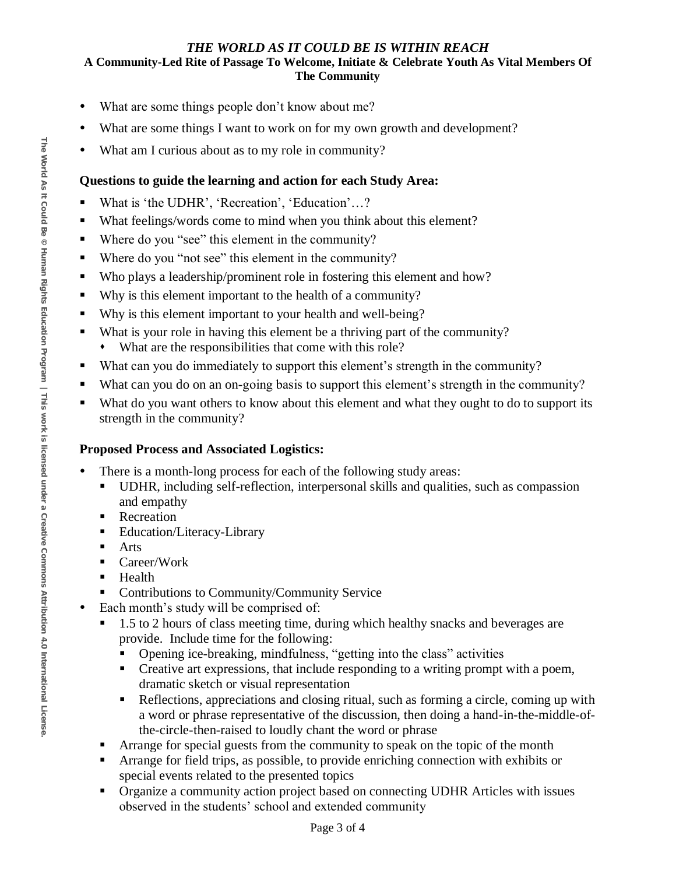## *THE WORLD AS IT COULD BE IS WITHIN REACH*

#### **A Community-Led Rite of Passage To Welcome, Initiate & Celebrate Youth As Vital Members Of The Community**

- What are some things people don't know about me?
- What are some things I want to work on for my own growth and development?
- What am I curious about as to my role in community?

# **Questions to guide the learning and action for each Study Area:**

- What is 'the UDHR', 'Recreation', 'Education'…?
- What feelings/words come to mind when you think about this element?
- Where do you "see" this element in the community?
- Where do you "not see" this element in the community?
- Who plays a leadership/prominent role in fostering this element and how?
- Why is this element important to the health of a community?
- Why is this element important to your health and well-being?
- What is your role in having this element be a thriving part of the community?
	- What are the responsibilities that come with this role?
- What can you do immediately to support this element's strength in the community?
- What can you do on an on-going basis to support this element's strength in the community?
- What do you want others to know about this element and what they ought to do to support its strength in the community?

# **Proposed Process and Associated Logistics:**

- There is a month-long process for each of the following study areas:
	- UDHR, including self-reflection, interpersonal skills and qualities, such as compassion and empathy
	- Recreation
	- Education/Literacy-Library
	- Arts
	- Career/Work
	- Health
	- **•** Contributions to Community/Community Service
- Each month's study will be comprised of:
	- 1.5 to 2 hours of class meeting time, during which healthy snacks and beverages are provide. Include time for the following:
		- Opening ice-breaking, mindfulness, "getting into the class" activities
		- Creative art expressions, that include responding to a writing prompt with a poem, dramatic sketch or visual representation
		- **•** Reflections, appreciations and closing ritual, such as forming a circle, coming up with a word or phrase representative of the discussion, then doing a hand-in-the-middle-ofthe-circle-then-raised to loudly chant the word or phrase
	- Arrange for special guests from the community to speak on the topic of the month
	- Arrange for field trips, as possible, to provide enriching connection with exhibits or special events related to the presented topics
	- Organize a community action project based on connecting UDHR Articles with issues observed in the students' school and extended community